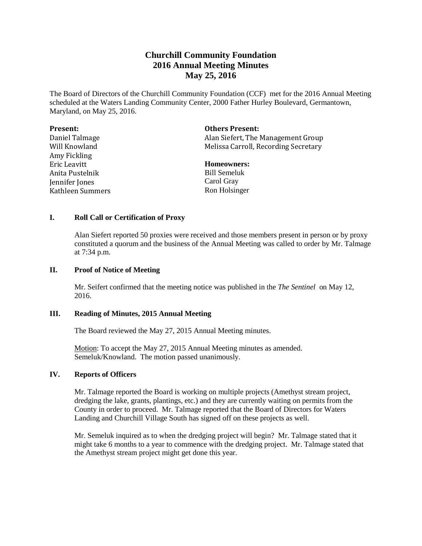# **Churchill Community Foundation 2016 Annual Meeting Minutes May 25, 2016**

The Board of Directors of the Churchill Community Foundation (CCF) met for the 2016 Annual Meeting scheduled at the Waters Landing Community Center, 2000 Father Hurley Boulevard, Germantown, Maryland, on May 25, 2016.

| <b>Present:</b>  | <b>Others Present:</b>               |
|------------------|--------------------------------------|
| Daniel Talmage   | Alan Siefert, The Management Group   |
| Will Knowland    | Melissa Carroll, Recording Secretary |
| Amy Fickling     |                                      |
| Eric Leavitt     | <b>Homeowners:</b>                   |
| Anita Pustelnik  | <b>Bill Semeluk</b>                  |
| Jennifer Jones   | Carol Gray                           |
| Kathleen Summers | Ron Holsinger                        |

### **I. Roll Call or Certification of Proxy**

Alan Siefert reported 50 proxies were received and those members present in person or by proxy constituted a quorum and the business of the Annual Meeting was called to order by Mr. Talmage at 7:34 p.m.

#### **II. Proof of Notice of Meeting**

Mr. Seifert confirmed that the meeting notice was published in the *The Sentinel* on May 12, 2016.

#### **III. Reading of Minutes, 2015 Annual Meeting**

The Board reviewed the May 27, 2015 Annual Meeting minutes.

Motion: To accept the May 27, 2015 Annual Meeting minutes as amended. Semeluk/Knowland. The motion passed unanimously.

#### **IV. Reports of Officers**

Mr. Talmage reported the Board is working on multiple projects (Amethyst stream project, dredging the lake, grants, plantings, etc.) and they are currently waiting on permits from the County in order to proceed. Mr. Talmage reported that the Board of Directors for Waters Landing and Churchill Village South has signed off on these projects as well.

Mr. Semeluk inquired as to when the dredging project will begin? Mr. Talmage stated that it might take 6 months to a year to commence with the dredging project. Mr. Talmage stated that the Amethyst stream project might get done this year.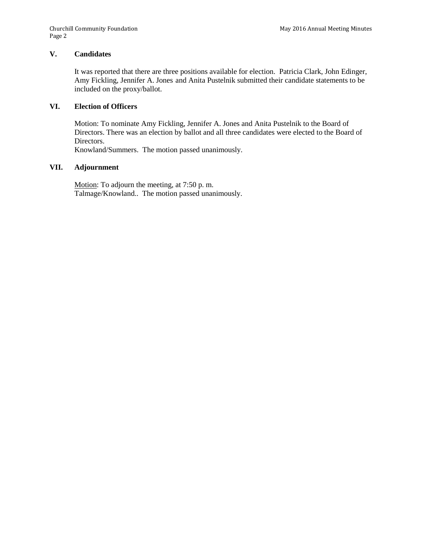## **V. Candidates**

It was reported that there are three positions available for election. Patricia Clark, John Edinger, Amy Fickling, Jennifer A. Jones and Anita Pustelnik submitted their candidate statements to be included on the proxy/ballot.

## **VI. Election of Officers**

Motion: To nominate Amy Fickling, Jennifer A. Jones and Anita Pustelnik to the Board of Directors. There was an election by ballot and all three candidates were elected to the Board of Directors.

Knowland/Summers. The motion passed unanimously.

### **VII. Adjournment**

Motion: To adjourn the meeting, at 7:50 p. m. Talmage/Knowland.. The motion passed unanimously.